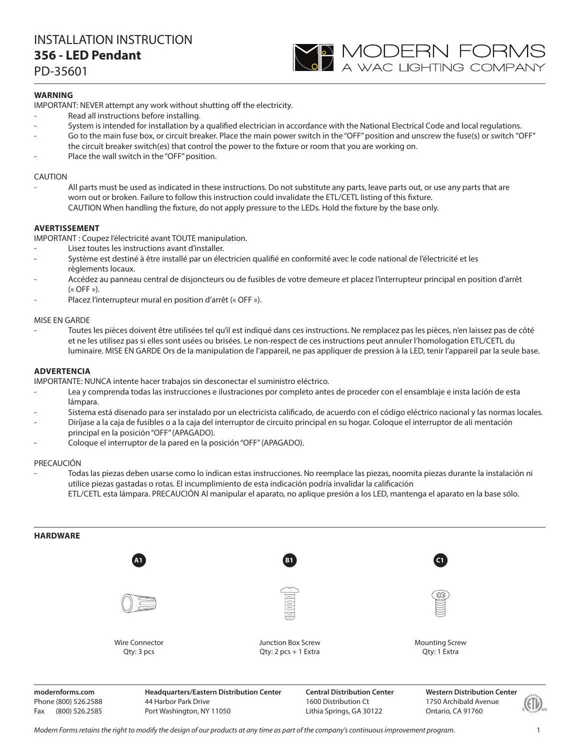# INSTALLATION INSTRUCTION **356 - LED Pendant**

PD-35601

# **WARNING**

IMPORTANT: NEVER attempt any work without shutting off the electricity.

- Read all instructions before installing.
- System is intended for installation by a qualified electrician in accordance with the National Electrical Code and local regulations.

**YO MODERN FORMS**<br>A wac lighting company

- Go to the main fuse box, or circuit breaker. Place the main power switch in the "OFF" position and unscrew the fuse(s) or switch "OFF" the circuit breaker switch(es) that control the power to the fixture or room that you are working on.
- Place the wall switch in the "OFF" position.

### CAUTION

All parts must be used as indicated in these instructions. Do not substitute any parts, leave parts out, or use any parts that are worn out or broken. Failure to follow this instruction could invalidate the ETL/CETL listing of this fixture. CAUTION When handling the fixture, do not apply pressure to the LEDs. Hold the fixture by the base only.

### **AVERTISSEMENT**

IMPORTANT : Coupez l'électricité avant TOUTE manipulation.

- Lisez toutes les instructions avant d'installer.
- Système est destiné à être installé par un électricien qualifié en conformité avec le code national de l'électricité et les règlements locaux.
- Accédez au panneau central de disjoncteurs ou de fusibles de votre demeure et placez l'interrupteur principal en position d'arrêt  $(\kappa$  OFF »).
- Placez l'interrupteur mural en position d'arrêt (« OFF »).

### MISE EN GARDE

- Toutes les pièces doivent être utilisées tel qu'il est indiqué dans ces instructions. Ne remplacez pas les pièces, n'en laissez pas de côté et ne les utilisez pas si elles sont usées ou brisées. Le non-respect de ces instructions peut annuler l'homologation ETL/CETL du luminaire. MISE EN GARDE Ors de la manipulation de l'appareil, ne pas appliquer de pression à la LED, tenir l'appareil par la seule base.

### **ADVERTENCIA**

IMPORTANTE: NUNCA intente hacer trabajos sin desconectar el suministro eléctrico.

- Lea y comprenda todas las instrucciones e ilustraciones por completo antes de proceder con el ensamblaje e insta lación de esta lámpara.
- Sistema está disenado para ser instalado por un electricista calificado, de acuerdo con el código eléctrico nacional y las normas locales.
- Diríjase a la caja de fusibles o a la caja del interruptor de circuito principal en su hogar. Coloque el interruptor de ali mentación principal en la posición "OFF" (APAGADO).
- Coloque el interruptor de la pared en la posición "OFF" (APAGADO).

#### PRECAUCIÓN

- Todas las piezas deben usarse como lo indican estas instrucciones. No reemplace las piezas, noomita piezas durante la instalación ni utilice piezas gastadas o rotas. El incumplimiento de esta indicación podría invalidar la calificación ETL/CETL esta lámpara. PRECAUCIÓN Al manipular el aparato, no aplique presión a los LED, mantenga el aparato en la base sólo.



Phone (800) 526.2588 Fax (800) 526.2585

44 Harbor Park Drive Port Washington, NY 11050

1600 Distribution Ct Lithia Springs, GA 30122

1750 Archibald Avenue Ontario, CA 91760